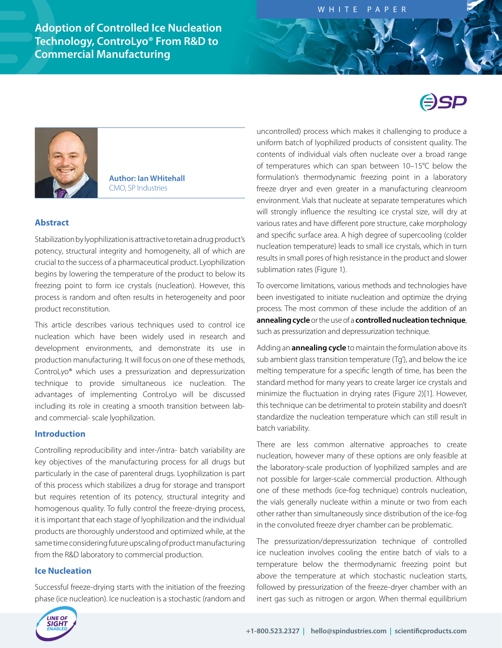**Adoption of Controlled Ice Nucleation Technology, ControLyo® From R&D to Commercial Manufacturing**



**Author: Ian WHitehall**  CMO, SP Industries

### **Abstract**

Stabilization by lyophilization is attractive to retain a drug product's potency, structural integrity and homogeneity, all of which are crucial to the success of a pharmaceutical product. Lyophilization begins by lowering the temperature of the product to below its freezing point to form ice crystals (nucleation). However, this process is random and often results in heterogeneity and poor product reconstitution.

This article describes various techniques used to control ice nucleation which have been widely used in research and development environments, and demonstrate its use in production manufacturing. It will focus on one of these methods, ControLyo® which uses a pressurization and depressurization technique to provide simultaneous ice nucleation. The advantages of implementing ControLyo will be discussed including its role in creating a smooth transition between laband commercial- scale lyophilization.

## **Introduction**

Controlling reproducibility and inter-/intra- batch variability are key objectives of the manufacturing process for all drugs but particularly in the case of parenteral drugs. Lyophilization is part of this process which stabilizes a drug for storage and transport but requires retention of its potency, structural integrity and homogenous quality. To fully control the freeze-drying process, it is important that each stage of lyophilization and the individual products are thoroughly understood and optimized while, at the same time considering future upscaling of product manufacturing from the R&D laboratory to commercial production.

#### **Ice Nucleation**

Successful freeze-drying starts with the initiation of the freezing phase (ice nucleation). Ice nucleation is a stochastic (random and uncontrolled) process which makes it challenging to produce a uniform batch of lyophilized products of consistent quality. The contents of individual vials often nucleate over a broad range of temperatures which can span between 10–15°C below the formulation's thermodynamic freezing point in a laboratory freeze dryer and even greater in a manufacturing cleanroom environment. Vials that nucleate at separate temperatures which will strongly influence the resulting ice crystal size, will dry at various rates and have different pore structure, cake morphology and specific surface area. A high degree of supercooling (colder nucleation temperature) leads to small ice crystals, which in turn results in small pores of high resistance in the product and slower sublimation rates (Figure 1).

To overcome limitations, various methods and technologies have been investigated to initiate nucleation and optimize the drying process. The most common of these include the addition of an **annealing cycle** or the use of a **controlled nucleation technique**, such as pressurization and depressurization technique.

Adding an **annealing cycle** to maintain the formulation above its sub ambient glass transition temperature (Tg'), and below the ice melting temperature for a specific length of time, has been the standard method for many years to create larger ice crystals and minimize the fluctuation in drying rates (Figure 2)[1]. However, this technique can be detrimental to protein stability and doesn't standardize the nucleation temperature which can still result in batch variability.

There are less common alternative approaches to create nucleation, however many of these options are only feasible at the laboratory-scale production of lyophilized samples and are not possible for larger-scale commercial production. Although one of these methods (ice-fog technique) controls nucleation, the vials generally nucleate within a minute or two from each other rather than simultaneously since distribution of the ice-fog in the convoluted freeze dryer chamber can be problematic.

The pressurization/depressurization technique of controlled ice nucleation involves cooling the entire batch of vials to a temperature below the thermodynamic freezing point but above the temperature at which stochastic nucleation starts, followed by pressurization of the freeze-dryer chamber with an inert gas such as nitrogen or argon. When thermal equilibrium

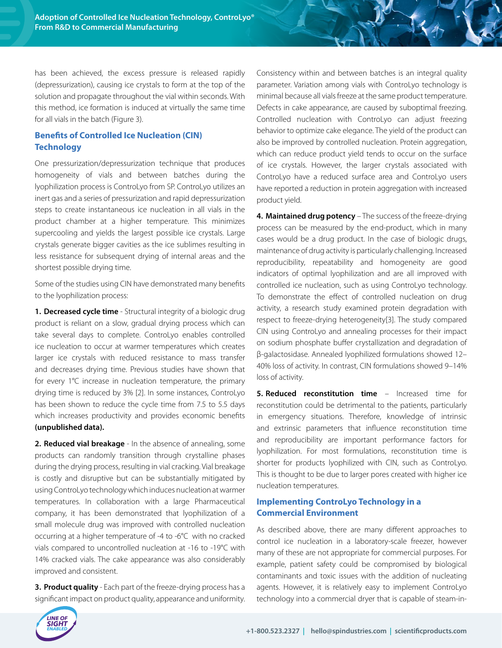has been achieved, the excess pressure is released rapidly (depressurization), causing ice crystals to form at the top of the solution and propagate throughout the vial within seconds. With this method, ice formation is induced at virtually the same time for all vials in the batch (Figure 3).

# **Benefits of Controlled Ice Nucleation (CIN) Technology**

One pressurization/depressurization technique that produces homogeneity of vials and between batches during the lyophilization process is ControLyo from SP. ControLyo utilizes an inert gas and a series of pressurization and rapid depressurization steps to create instantaneous ice nucleation in all vials in the product chamber at a higher temperature. This minimizes supercooling and yields the largest possible ice crystals. Large crystals generate bigger cavities as the ice sublimes resulting in less resistance for subsequent drying of internal areas and the shortest possible drying time.

Some of the studies using CIN have demonstrated many benefits to the lyophilization process:

**1. Decreased cycle time** - Structural integrity of a biologic drug product is reliant on a slow, gradual drying process which can take several days to complete. ControLyo enables controlled ice nucleation to occur at warmer temperatures which creates larger ice crystals with reduced resistance to mass transfer and decreases drying time. Previous studies have shown that for every 1°C increase in nucleation temperature, the primary drying time is reduced by 3% [2]. In some instances, ControLyo has been shown to reduce the cycle time from 7.5 to 5.5 days which increases productivity and provides economic benefits **(unpublished data).** 

**2. Reduced vial breakage** - In the absence of annealing, some products can randomly transition through crystalline phases during the drying process, resulting in vial cracking. Vial breakage is costly and disruptive but can be substantially mitigated by using ControLyo technology which induces nucleation at warmer temperatures. In collaboration with a large Pharmaceutical company, it has been demonstrated that lyophilization of a small molecule drug was improved with controlled nucleation occurring at a higher temperature of -4 to -6°C with no cracked vials compared to uncontrolled nucleation at -16 to -19°C with 14% cracked vials. The cake appearance was also considerably improved and consistent.

**3. Product quality** - Each part of the freeze-drying process has a significant impact on product quality, appearance and uniformity.

Consistency within and between batches is an integral quality parameter. Variation among vials with ControLyo technology is minimal because all vials freeze at the same product temperature. Defects in cake appearance, are caused by suboptimal freezing. Controlled nucleation with ControLyo can adjust freezing behavior to optimize cake elegance. The yield of the product can also be improved by controlled nucleation. Protein aggregation, which can reduce product yield tends to occur on the surface of ice crystals. However, the larger crystals associated with ControLyo have a reduced surface area and ControLyo users have reported a reduction in protein aggregation with increased product yield.

**4. Maintained drug potency** – The success of the freeze-drying process can be measured by the end-product, which in many cases would be a drug product. In the case of biologic drugs, maintenance of drug activity is particularly challenging. Increased reproducibility, repeatability and homogeneity are good indicators of optimal lyophilization and are all improved with controlled ice nucleation, such as using ControLyo technology. To demonstrate the effect of controlled nucleation on drug activity, a research study examined protein degradation with respect to freeze-drying heterogeneity[3]. The study compared CIN using ControLyo and annealing processes for their impact on sodium phosphate buffer crystallization and degradation of β-galactosidase. Annealed lyophilized formulations showed 12– 40% loss of activity. In contrast, CIN formulations showed 9–14% loss of activity.

**5. Reduced reconstitution time** – Increased time for reconstitution could be detrimental to the patients, particularly in emergency situations. Therefore, knowledge of intrinsic and extrinsic parameters that influence reconstitution time and reproducibility are important performance factors for lyophilization. For most formulations, reconstitution time is shorter for products lyophilized with CIN, such as ControLyo. This is thought to be due to larger pores created with higher ice nucleation temperatures.

## **Implementing ControLyo Technology in a Commercial Environment**

As described above, there are many different approaches to control ice nucleation in a laboratory-scale freezer, however many of these are not appropriate for commercial purposes. For example, patient safety could be compromised by biological contaminants and toxic issues with the addition of nucleating agents. However, it is relatively easy to implement ControLyo technology into a commercial dryer that is capable of steam-in-

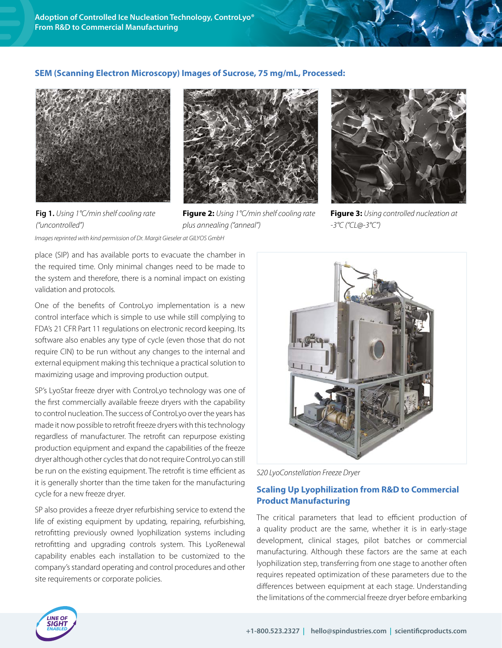## **SEM (Scanning Electron Microscopy) Images of Sucrose, 75 mg/mL, Processed:**





**Fig 1.** *Using 1°C/min shelf cooling rate ("uncontrolled")*

**Figure 2:** *Using 1°C/min shelf cooling rate plus annealing ("anneal")*



**Figure 3:** *Using controlled nucleation at -3°C ("CL@-3°C")*

*Images reprinted with kind permission of Dr. Margit Gieseler at GILYOS GmbH*

place (SIP) and has available ports to evacuate the chamber in the required time. Only minimal changes need to be made to the system and therefore, there is a nominal impact on existing validation and protocols.

One of the benefits of ControLyo implementation is a new control interface which is simple to use while still complying to FDA's 21 CFR Part 11 regulations on electronic record keeping. Its software also enables any type of cycle (even those that do not require CIN) to be run without any changes to the internal and external equipment making this technique a practical solution to maximizing usage and improving production output.

SP's LyoStar freeze dryer with ControLyo technology was one of the first commercially available freeze dryers with the capability to control nucleation. The success of ControLyo over the years has made it now possible to retrofit freeze dryers with this technology regardless of manufacturer. The retrofit can repurpose existing production equipment and expand the capabilities of the freeze dryer although other cycles that do not require ControLyo can still be run on the existing equipment. The retrofit is time efficient as it is generally shorter than the time taken for the manufacturing cycle for a new freeze dryer.

SP also provides a freeze dryer refurbishing service to extend the life of existing equipment by updating, repairing, refurbishing, retrofitting previously owned lyophilization systems including retrofitting and upgrading controls system. This LyoRenewal capability enables each installation to be customized to the company's standard operating and control procedures and other site requirements or corporate policies.



*S20 LyoConstellation Freeze Dryer*

# **Scaling Up Lyophilization from R&D to Commercial Product Manufacturing**

The critical parameters that lead to efficient production of a quality product are the same, whether it is in early-stage development, clinical stages, pilot batches or commercial manufacturing. Although these factors are the same at each lyophilization step, transferring from one stage to another often requires repeated optimization of these parameters due to the differences between equipment at each stage. Understanding the limitations of the commercial freeze dryer before embarking